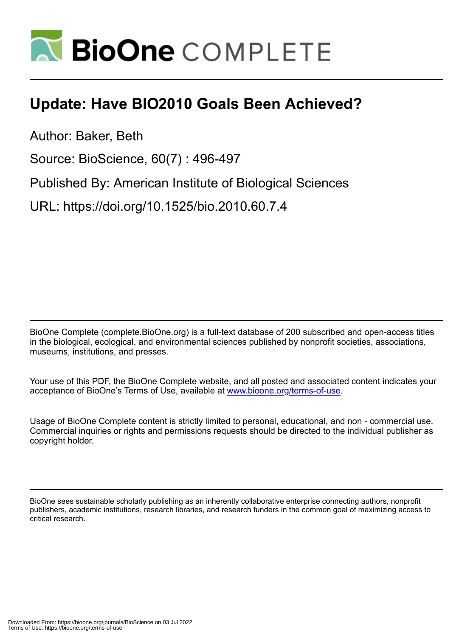

## **Update: Have BIO2010 Goals Been Achieved?**

Author: Baker, Beth

Source: BioScience, 60(7) : 496-497

Published By: American Institute of Biological Sciences

URL: https://doi.org/10.1525/bio.2010.60.7.4

BioOne Complete (complete.BioOne.org) is a full-text database of 200 subscribed and open-access titles in the biological, ecological, and environmental sciences published by nonprofit societies, associations, museums, institutions, and presses.

Your use of this PDF, the BioOne Complete website, and all posted and associated content indicates your acceptance of BioOne's Terms of Use, available at www.bioone.org/terms-of-use.

Usage of BioOne Complete content is strictly limited to personal, educational, and non - commercial use. Commercial inquiries or rights and permissions requests should be directed to the individual publisher as copyright holder.

BioOne sees sustainable scholarly publishing as an inherently collaborative enterprise connecting authors, nonprofit publishers, academic institutions, research libraries, and research funders in the common goal of maximizing access to critical research.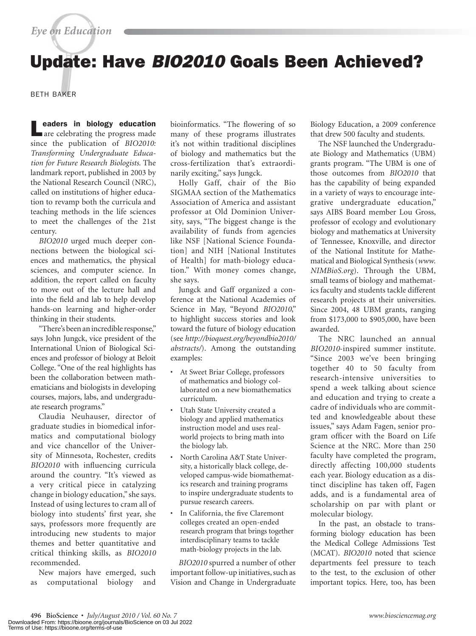## Update: Have BIO2010 Goals Been Achieved?

BETH BAKER

**Leaders in biology education**<br>are celebrating the progress made since the publication of *BIO2010: Transforming Undergraduate Education for Future Research Biologists.* The landmark report, published in 2003 by the National Research Council (NRC), called on institutions of higher education to revamp both the curricula and teaching methods in the life sciences to meet the challenges of the 21st century.

*BIO2010* urged much deeper connections between the biological sciences and mathematics, the physical sciences, and computer science. In addition, the report called on faculty to move out of the lecture hall and into the field and lab to help develop hands-on learning and higher-order thinking in their students.

"There's been an incredible response," says John Jungck, vice president of the International Union of Biological Sciences and professor of biology at Beloit College. "One of the real highlights has been the collaboration between mathematicians and biologists in developing courses, majors, labs, and undergraduate research programs."

Claudia Neuhauser, director of graduate studies in biomedical informatics and computational biology and vice chancellor of the University of Minnesota, Rochester, credits *BIO2010* with influencing curricula around the country. "It's viewed as a very critical piece in catalyzing change in biology education," she says. Instead of using lectures to cram all of biology into students' first year, she says, professors more frequently are introducing new students to major themes and better quantitative and critical thinking skills, as *BIO2010* recommended.

New majors have emerged, such as computational biology and

bioinformatics. "The flowering of so many of these programs illustrates it's not within traditional disciplines of biology and mathematics but the cross-fertilization that's extraordinarily exciting," says Jungck.

Holly Gaff, chair of the Bio SIGMAA section of the Mathematics Association of America and assistant professor at Old Dominion University, says, "The biggest change is the availability of funds from agencies like NSF [National Science Foundation] and NIH [National Institutes of Health] for math-biology education." With money comes change, she says.

Jungck and Gaff organized a conference at the National Academies of Science in May, "Beyond *BIO2010*," to highlight success stories and look toward the future of biology education (see *http://bioquest.org/beyondbio2010/ abstracts/*). Among the outstanding examples:

- At Sweet Briar College, professors of mathematics and biology collaborated on a new biomathematics curriculum.
- Utah State University created a biology and applied mathematics instruction model and uses realworld projects to bring math into the biology lab.
- North Carolina A&T State University, a historically black college, developed campus-wide biomathematics research and training programs to inspire undergraduate students to pursue research careers.
- In California, the five Claremont colleges created an open-ended research program that brings together interdisciplinary teams to tackle math-biology projects in the lab.

*BIO2010* spurred a number of other important follow-up initiatives, such as Vision and Change in Undergraduate Biology Education, a 2009 conference that drew 500 faculty and students.

The NSF launched the Undergraduate Biology and Mathematics (UBM) grants program. "The UBM is one of those outcomes from *BIO2010* that has the capability of being expanded in a variety of ways to encourage integrative undergraduate education," says AIBS Board member Lou Gross, professor of ecology and evolutionary biology and mathematics at University of Tennessee, Knoxville, and director of the National Institute for Mathematical and Biological Synthesis (*www. NIMBioS.org*). Through the UBM, small teams of biology and mathematics faculty and students tackle different research projects at their universities. Since 2004, 48 UBM grants, ranging from \$173,000 to \$905,000, have been awarded.

The NRC launched an annual *BIO2010*-inspired summer institute. "Since 2003 we've been bringing together 40 to 50 faculty from research-intensive universities to spend a week talking about science and education and trying to create a cadre of individuals who are committed and knowledgeable about these issues," says Adam Fagen, senior program officer with the Board on Life Science at the NRC. More than 250 faculty have completed the program, directly affecting 100,000 students each year. Biology education as a distinct discipline has taken off, Fagen adds, and is a fundamental area of scholarship on par with plant or molecular biology.

In the past, an obstacle to transforming biology education has been the Medical College Admissions Test (MCAT). *BIO2010* noted that science departments feel pressure to teach to the test, to the exclusion of other important topics. Here, too, has been